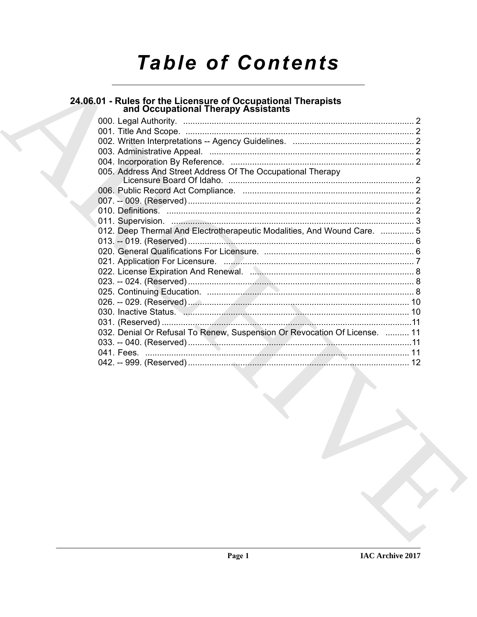# **Table of Contents**

# 24.06.01 - Rules for the Licensure of Occupational Therapists<br>and Occupational Therapy Assistants

|  | 005. Address And Street Address Of The Occupational Therapy               |  |
|--|---------------------------------------------------------------------------|--|
|  |                                                                           |  |
|  |                                                                           |  |
|  |                                                                           |  |
|  |                                                                           |  |
|  |                                                                           |  |
|  | 012. Deep Thermal And Electrotherapeutic Modalities, And Wound Care.  5   |  |
|  |                                                                           |  |
|  |                                                                           |  |
|  |                                                                           |  |
|  |                                                                           |  |
|  |                                                                           |  |
|  |                                                                           |  |
|  |                                                                           |  |
|  |                                                                           |  |
|  |                                                                           |  |
|  | 032. Denial Or Refusal To Renew, Suspension Or Revocation Of License.  11 |  |
|  |                                                                           |  |
|  |                                                                           |  |
|  |                                                                           |  |
|  |                                                                           |  |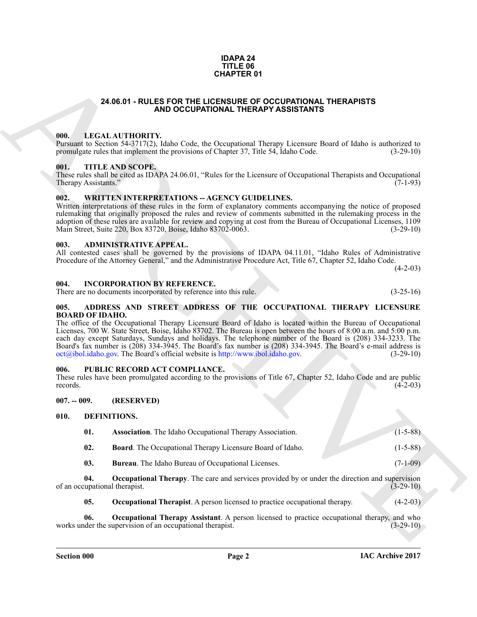#### **IDAPA 24 TITLE 06 CHAPTER 01**

# **24.06.01 - RULES FOR THE LICENSURE OF OCCUPATIONAL THERAPISTS AND OCCUPATIONAL THERAPY ASSISTANTS**

# <span id="page-1-1"></span><span id="page-1-0"></span>**000. LEGAL AUTHORITY.**

Pursuant to Section 54-3717(2), Idaho Code, the Occupational Therapy Licensure Board of Idaho is authorized to promulgate rules that implement the provisions of Chapter 37, Title 54, Idaho Code. (3-29-10)

#### <span id="page-1-2"></span>**001. TITLE AND SCOPE.**

These rules shall be cited as IDAPA 24.06.01, "Rules for the Licensure of Occupational Therapists and Occupational Therapy Assistants." (7-1-93)

#### <span id="page-1-3"></span>002. WRITTEN INTERPRETATIONS -- AGENCY GUIDELINES.

Written interpretations of these rules in the form of explanatory comments accompanying the notice of proposed rulemaking that originally proposed the rules and review of comments submitted in the rulemaking process in the adoption of these rules are available for review and copying at cost from the Bureau of Occupational Licenses, 1109<br>Main Street, Suite 220, Box 83720, Boise, Idaho 83702-0063. (3-29-10) Main Street, Suite 220, Box 83720, Boise, Idaho 83702-0063.

## <span id="page-1-4"></span>**003. ADMINISTRATIVE APPEAL.**

All contested cases shall be governed by the provisions of IDAPA 04.11.01, "Idaho Rules of Administrative Procedure of the Attorney General," and the Administrative Procedure Act, Title 67, Chapter 52, Idaho Code.

 $(4-2-03)$ 

#### <span id="page-1-5"></span>**004. INCORPORATION BY REFERENCE.**

There are no documents incorporated by reference into this rule. (3-25-16)

<span id="page-1-6"></span>**005. ADDRESS AND STREET ADDRESS OF THE OCCUPATIONAL THERAPY LICENSURE BOARD OF IDAHO.**

**24.05.01 - RULES FOR THE LIGENDORE OF COLUMN CONTROVAL THERAPY LIGENSIS<br>
THE LIGENSIS CONTROLL THE SAFE AND SOLUTION AND THE VALUES OF A CONTROLL THE SAFE AND SOLUTION CONTROLL THE SAFE AND SOLUTION (B) (B) (B) (B) (B) (** The office of the Occupational Therapy Licensure Board of Idaho is located within the Bureau of Occupational Licenses, 700 W. State Street, Boise, Idaho 83702. The Bureau is open between the hours of 8:00 a.m. and 5:00 p.m. each day except Saturdays, Sundays and holidays. The telephone number of the Board is (208) 334-3233. The Board's fax number is (208) 334-3945. The Board's fax number is (208) 334-3945. The Board's e-mail address is oct@ibol.idaho.gov. The Board's official website is http://www.ibol.idaho.gov. (3-29-10)  $oct@ibol.idaho.gov.$  The Board's official website is  $http://www.ibol.idaho.gov.$ 

## <span id="page-1-7"></span>**006. PUBLIC RECORD ACT COMPLIANCE.**

These rules have been promulgated according to the provisions of Title 67, Chapter 52, Idaho Code and are public records. (4-2-03) records.  $(4-2-03)$ 

<span id="page-1-8"></span>**007. -- 009. (RESERVED)**

#### <span id="page-1-9"></span>**010. DEFINITIONS.**

<span id="page-1-11"></span><span id="page-1-10"></span>

|     | <b>Association</b> . The Idaho Occupational Therapy Association. | $(1-5-88)$ |
|-----|------------------------------------------------------------------|------------|
| 02. | <b>Board.</b> The Occupational Therapy Licensure Board of Idaho. | $(1-5-88)$ |

<span id="page-1-15"></span><span id="page-1-13"></span><span id="page-1-12"></span>**03. Bureau**. The Idaho Bureau of Occupational Licenses. (7-1-09)

**04. Occupational Therapy**. The care and services provided by or under the direction and supervision of an occupational therapist.  $(3-29-10)$ 

<span id="page-1-16"></span><span id="page-1-14"></span>**05. Occupational Therapist**. A person licensed to practice occupational therapy. (4-2-03)

**06.** Occupational Therapy Assistant. A person licensed to practice occupational therapy, and who ider the supervision of an occupational therapist.  $(3-29-10)$ works under the supervision of an occupational therapist.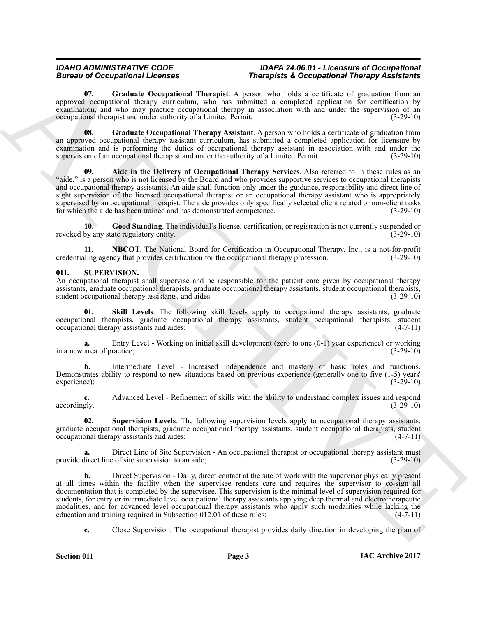## *IDAHO ADMINISTRATIVE CODE IDAPA 24.06.01 - Licensure of Occupational Fherapists & Occupational Therapy Assistants*

<span id="page-2-3"></span>**07. Graduate Occupational Therapist**. A person who holds a certificate of graduation from an approved occupational therapy curriculum, who has submitted a completed application for certification by examination, and who may practice occupational therapy in association with and under the supervision of an occupational therapist and under authority of a Limited Permit. (3-29-10) occupational therapist and under authority of a Limited Permit.

<span id="page-2-4"></span><span id="page-2-1"></span>**08. Graduate Occupational Therapy Assistant**. A person who holds a certificate of graduation from an approved occupational therapy assistant curriculum, has submitted a completed application for licensure by examination and is performing the duties of occupational therapy assistant in association with and under the supervision of an occupational therapist and under the authority of a Limited Permit. (3-29-10) supervision of an occupational therapist and under the authority of a Limited Permit.

Borrow of Comparison Research and Hermital A propose is Goognithout Theoretical Research and the substitution of the substitution of the substitution of the substitution of the substitution of the substitution of the subs **09. Aide in the Delivery of Occupational Therapy Services**. Also referred to in these rules as an "aide," is a person who is not licensed by the Board and who provides supportive services to occupational therapists and occupational therapy assistants. An aide shall function only under the guidance, responsibility and direct line of sight supervision of the licensed occupational therapist or an occupational therapy assistant who is appropriately supervised by an occupational therapist. The aide provides only specifically selected client related or non-client tasks for which the aide has been trained and has demonstrated competence. (3-29-10)

<span id="page-2-2"></span>**10. Good Standing**. The individual's license, certification, or registration is not currently suspended or revoked by any state regulatory entity. (3-29-10)

<span id="page-2-5"></span>**11. NBCOT**. The National Board for Certification in Occupational Therapy, Inc., is a not-for-profit ling agency that provides certification for the occupational therapy profession. (3-29-10) credentialing agency that provides certification for the occupational therapy profession.

## <span id="page-2-6"></span><span id="page-2-0"></span>**011. SUPERVISION.**

An occupational therapist shall supervise and be responsible for the patient care given by occupational therapy assistants, graduate occupational therapists, graduate occupational therapy assistants, student occupational therapists, student occupational therapy assistants, and aides. (3-29-10) student occupational therapy assistants, and aides.

<span id="page-2-7"></span>**Skill Levels**. The following skill levels apply to occupational therapy assistants, graduate occupational therapists, graduate occupational therapy assistants, student occupational therapists, student occupational therapy assistants and aides:

**a.** Entry Level - Working on initial skill development (zero to one (0-1) year experience) or working area of practice; (3-29-10) in a new area of practice;

**b.** Intermediate Level - Increased independence and mastery of basic roles and functions. Demonstrates ability to respond to new situations based on previous experience (generally one to five (1-5) years' experience);<br>(3-29-10) experience); (3-29-10)

**c.** Advanced Level - Refinement of skills with the ability to understand complex issues and respond accordingly.  $(3-29-10)$ accordingly. (3-29-10) (3-29-10)

<span id="page-2-8"></span>**02. Supervision Levels**. The following supervision levels apply to occupational therapy assistants, graduate occupational therapists, graduate occupational therapy assistants, student occupational therapists, student occupational therapy assistants and aides:

**a.** Direct Line of Site Supervision - An occupational therapist or occupational therapy assistant must provide direct line of site supervision to an aide; (3-29-10)

**b.** Direct Supervision - Daily, direct contact at the site of work with the supervisor physically present at all times within the facility when the supervisee renders care and requires the supervisor to co-sign all documentation that is completed by the supervisee. This supervision is the minimal level of supervision required for students, for entry or intermediate level occupational therapy assistants applying deep thermal and electrotherapeutic modalities, and for advanced level occupational therapy assistants who apply such modalities while lacking the education and training required in Subsection 012.01 of these rules:  $(4-7-11)$ education and training required in Subsection 012.01 of these rules;

**c.** Close Supervision. The occupational therapist provides daily direction in developing the plan of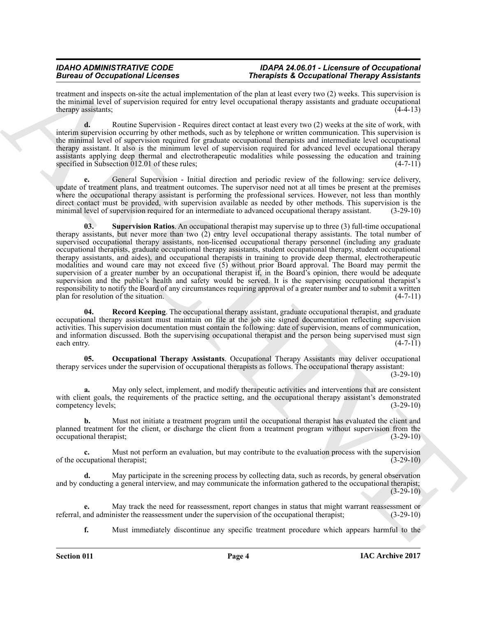### *IDAHO ADMINISTRATIVE CODE IDAPA 24.06.01 - Licensure of Occupational Bureapists & Occupational Therapy Assistants*

treatment and inspects on-site the actual implementation of the plan at least every two (2) weeks. This supervision is the minimal level of supervision required for entry level occupational therapy assistants and graduate occupational<br>therapy assistants: (4-4-13) therapy assistants;

**d.** Routine Supervision - Requires direct contact at least every two (2) weeks at the site of work, with interim supervision occurring by other methods, such as by telephone or written communication. This supervision is the minimal level of supervision required for graduate occupational therapists and intermediate level occupational therapy assistant. It also is the minimum level of supervision required for advanced level occupational therapy assistants applying deep thermal and electrotherapeutic modalities while possessing the education and training specified in Subsection 012.01 of these rules; (4-7-11)

<span id="page-3-2"></span>**e.** General Supervision - Initial direction and periodic review of the following: service delivery, update of treatment plans, and treatment outcomes. The supervisor need not at all times be present at the premises where the occupational therapy assistant is performing the professional services. However, not less than monthly direct contact must be provided, with supervision available as needed by other methods. This supervision is the minimal level of supervision required for an intermediate to advanced occupational therapy assistant. (3-29-10)

Because of Occupations and the measurement of the physicist Cocomplete in the system of the system of the system of the system of the system of the system of the system of the system of the system of the system of the sys **03. Supervision Ratios**. An occupational therapist may supervise up to three (3) full-time occupational therapy assistants, but never more than two (2) entry level occupational therapy assistants. The total number of supervised occupational therapy assistants, non-licensed occupational therapy personnel (including any graduate occupational therapists, graduate occupational therapy assistants, student occupational therapy, student occupational therapy assistants, and aides), and occupational therapists in training to provide deep thermal, electrotherapeutic modalities and wound care may not exceed five (5) without prior Board approval. The Board may permit the supervision of a greater number by an occupational therapist if, in the Board's opinion, there would be adequate supervision and the public's health and safety would be served. It is the supervising occupational therapist's responsibility to notify the Board of any circumstances requiring approval of a greater number and to submit a written plan for resolution of the situation. (4-7-11) plan for resolution of the situation.

<span id="page-3-1"></span>**Record Keeping**. The occupational therapy assistant, graduate occupational therapist, and graduate occupational therapy assistant must maintain on file at the job site signed documentation reflecting supervision activities. This supervision documentation must contain the following: date of supervision, means of communication, and information discussed. Both the supervising occupational therapist and the person being supervised must sign each entry.  $(4-7-11)$ each entry. (4-7-11)

<span id="page-3-0"></span>**05. Occupational Therapy Assistants**. Occupational Therapy Assistants may deliver occupational therapy services under the supervision of occupational therapists as follows. The occupational therapy assistant:

(3-29-10)

**a.** May only select, implement, and modify therapeutic activities and interventions that are consistent with client goals, the requirements of the practice setting, and the occupational therapy assistant's demonstrated competency levels;<br>(3-29-10) competency levels;

**b.** Must not initiate a treatment program until the occupational therapist has evaluated the client and planned treatment for the client, or discharge the client from a treatment program without supervision from the occupational therapist; (3-29-10) occupational therapist;

**c.** Must not perform an evaluation, but may contribute to the evaluation process with the supervision of the occupational therapist; (3-29-10)

May participate in the screening process by collecting data, such as records, by general observation and by conducting a general interview, and may communicate the information gathered to the occupational therapist;  $(3-29-10)$ 

May track the need for reassessment, report changes in status that might warrant reassessment or nister the reassessment under the supervision of the occupational therapist; (3-29-10) referral, and administer the reassessment under the supervision of the occupational therapist;

**f.** Must immediately discontinue any specific treatment procedure which appears harmful to the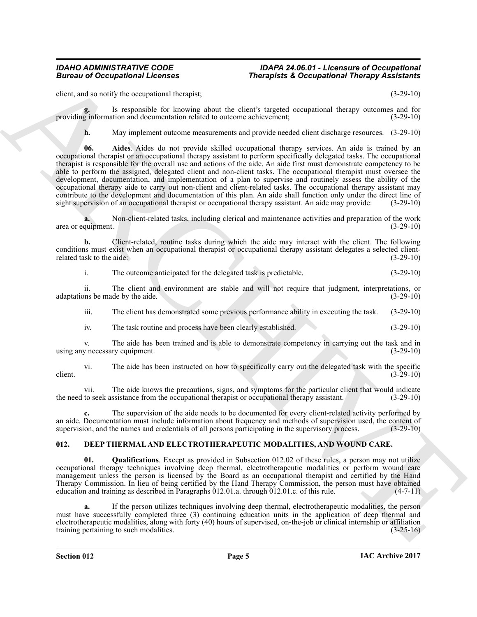### *IDAHO ADMINISTRATIVE CODE IDAPA 24.06.01 - Licensure of Occupational Bureau of Occupational Licenses Therapists & Occupational Therapy Assistants*

client, and so notify the occupational therapist; (3-29-10)

Is responsible for knowing about the client's targeted occupational therapy outcomes and for tion and documentation related to outcome achievement: (3-29-10) providing information and documentation related to outcome achievement;

<span id="page-4-3"></span>**h.** May implement outcome measurements and provide needed client discharge resources.  $(3-29-10)$ 

Bureau of Occupational Licenses<br>
Since and Contract the state of the contract of the contract of the contract of the contract of the contract of the contract of the contract of the contract of the contract of the contract **06. Aides**. Aides do not provide skilled occupational therapy services. An aide is trained by an occupational therapist or an occupational therapy assistant to perform specifically delegated tasks. The occupational therapist is responsible for the overall use and actions of the aide. An aide first must demonstrate competency to be able to perform the assigned, delegated client and non-client tasks. The occupational therapist must oversee the development, documentation, and implementation of a plan to supervise and routinely assess the ability of the occupational therapy aide to carry out non-client and client-related tasks. The occupational therapy assistant may contribute to the development and documentation of this plan. An aide shall function only under the direct line of sight supervision of an occupational therapist or occupational therapy assistant. An aide may provide: (3-29-10)

**a.** Non-client-related tasks, including clerical and maintenance activities and preparation of the work quipment. (3-29-10) area or equipment.

**b.** Client-related, routine tasks during which the aide may interact with the client. The following conditions must exist when an occupational therapist or occupational therapy assistant delegates a selected client-<br>related task to the aide: (3-29-10) related task to the aide:

i. The outcome anticipated for the delegated task is predictable. (3-29-10)

ii. The client and environment are stable and will not require that judgment, interpretations, or ons be made by the aide. (3-29-10) adaptations be made by the aide.

iii. The client has demonstrated some previous performance ability in executing the task. (3-29-10)

iv. The task routine and process have been clearly established. (3-29-10)

v. The aide has been trained and is able to demonstrate competency in carrying out the task and in using any necessary equipment. (3-29-10)

vi. The aide has been instructed on how to specifically carry out the delegated task with the specific client.  $(3-29-10)$ 

vii. The aide knows the precautions, signs, and symptoms for the particular client that would indicate to seek assistance from the occupational therapist or occupational therapy assistant. (3-29-10) the need to seek assistance from the occupational therapist or occupational therapy assistant.

**c.** The supervision of the aide needs to be documented for every client-related activity performed by an aide. Documentation must include information about frequency and methods of supervision used, the content of supervision, and the names and credentials of all persons participating in the supervisiony process. (3-29-10) supervision, and the names and credentials of all persons participating in the supervisory process.

# <span id="page-4-1"></span><span id="page-4-0"></span>**012. DEEP THERMAL AND ELECTROTHERAPEUTIC MODALITIES, AND WOUND CARE.**

<span id="page-4-2"></span>**01. Qualifications**. Except as provided in Subsection 012.02 of these rules, a person may not utilize occupational therapy techniques involving deep thermal, electrotherapeutic modalities or perform wound care management unless the person is licensed by the Board as an occupational therapist and certified by the Hand Therapy Commission. In lieu of being certified by the Hand Therapy Commission, the person must have obtained education and training as described in Paragraphs  $\overline{012.01}$ .a. through  $\overline{012.01}$ .c. of this rule. (4-7-11)

**a.** If the person utilizes techniques involving deep thermal, electrotherapeutic modalities, the person must have successfully completed three (3) continuing education units in the application of deep thermal and electrotherapeutic modalities, along with forty (40) hours of supervised, on-the-job or clinical internship or affiliation training pertaining to such modalities. (3-25-16)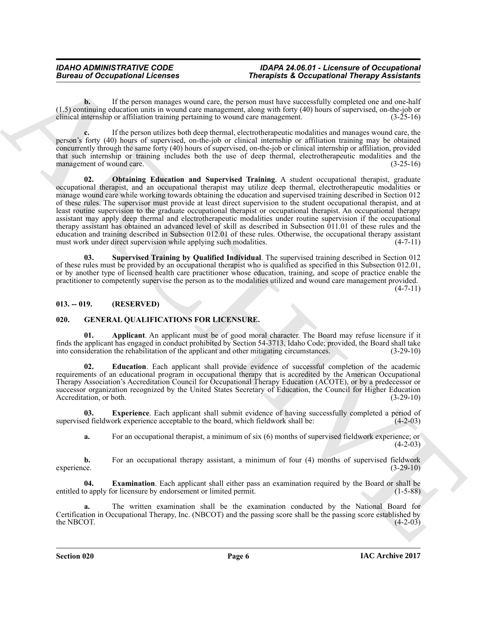## *IDAHO ADMINISTRATIVE CODE IDAPA 24.06.01 - Licensure of Occupational Fherapists & Occupational Therapy Assistants*

**b.** If the person manages wound care, the person must have successfully completed one and one-half (1.5) continuing education units in wound care management, along with forty (40) hours of supervised, on-the-job or clinical internship or affiliation training pertaining to wound care management.

<span id="page-5-2"></span>**c.** If the person utilizes both deep thermal, electrotherapeutic modalities and manages wound care, the person's forty (40) hours of supervised, on-the-job or clinical internship or affiliation training may be obtained concurrently through the same forty (40) hours of supervised, on-the-job or clinical internship or affiliation, provided that such internship or training includes both the use of deep thermal, electrotherapeutic modalities and the management of wound care. (3-25-16)

**Eurosia of Occupational Licenses**<br>
(1) the procedure of the symmal case, the proposition of the proposition of the symmal and the symmal case of the symmal case of the symmal case of the symmal case of the symmal case of **02. Obtaining Education and Supervised Training**. A student occupational therapist, graduate occupational therapist, and an occupational therapist may utilize deep thermal, electrotherapeutic modalities or manage wound care while working towards obtaining the education and supervised training described in Section 012 of these rules. The supervisor must provide at least direct supervision to the student occupational therapist, and at least routine supervision to the graduate occupational therapist or occupational therapist. An occupational therapy assistant may apply deep thermal and electrotherapeutic modalities under routine supervision if the occupational therapy assistant has obtained an advanced level of skill as described in Subsection 011.01 of these rules and the education and training described in Subsection 012.01 of these rules. Otherwise, the occupational therapy assistant must work under direct supervision while applying such modalities. (4-7-11) must work under direct supervision while applying such modalities.

<span id="page-5-3"></span>**03. Supervised Training by Qualified Individual**. The supervised training described in Section 012 of these rules must be provided by an occupational therapist who is qualified as specified in this Subsection 012.01, or by another type of licensed health care practitioner whose education, training, and scope of practice enable the practitioner to competently supervise the person as to the modalities utilized and wound care management provided.

 $(4 - 7 - 11)$ 

## <span id="page-5-0"></span>**013. -- 019. (RESERVED)**

# <span id="page-5-4"></span><span id="page-5-1"></span>**020. GENERAL QUALIFICATIONS FOR LICENSURE.**

<span id="page-5-5"></span>**01. Applicant**. An applicant must be of good moral character. The Board may refuse licensure if it finds the applicant has engaged in conduct prohibited by Section 54-3713, Idaho Code; provided, the Board shall take into consideration the rehabilitation of the applicant and other mitigating circumstances. (3-29-10)

<span id="page-5-6"></span>**02. Education**. Each applicant shall provide evidence of successful completion of the academic requirements of an educational program in occupational therapy that is accredited by the American Occupational Therapy Association's Accreditation Council for Occupational Therapy Education (ACOTE), or by a predecessor or successor organization recognized by the United States Secretary of Education, the Council for Higher Education<br>(3-29-10) (3-29-10) Accreditation, or both.

**03. Experience**. Each applicant shall submit evidence of having successfully completed a period of supervised fieldwork experience acceptable to the board, which fieldwork shall be: (4-2-03)

<span id="page-5-8"></span><span id="page-5-7"></span>**a.** For an occupational therapist, a minimum of six (6) months of supervised fieldwork experience; or  $(4-2-03)$ 

**b.** For an occupational therapy assistant, a minimum of four (4) months of supervised fieldwork experience.  $(3-29-10)$ experience. (3-29-10)

**04. Examination**. Each applicant shall either pass an examination required by the Board or shall be entitled to apply for licensure by endorsement or limited permit. (1-5-88)

**a.** The written examination shall be the examination conducted by the National Board for Certification in Occupational Therapy, Inc. (NBCOT) and the passing score shall be the passing score established by the NBCOT.  $(4-2-03)$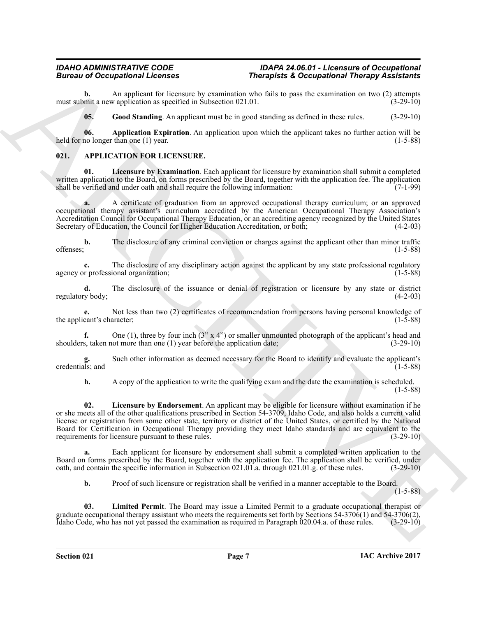An applicant for licensure by examination who fails to pass the examination on two (2) attempts v application as specified in Subsection 021.01. (3-29-10) must submit a new application as specified in Subsection 021.01.

<span id="page-6-6"></span><span id="page-6-5"></span>**05. Good Standing**. An applicant must be in good standing as defined in these rules. (3-29-10)

**06. Application Expiration**. An application upon which the applicant takes no further action will be no longer than one (1) year. held for no longer than one  $(1)$  year.

# <span id="page-6-1"></span><span id="page-6-0"></span>**021. APPLICATION FOR LICENSURE.**

<span id="page-6-3"></span>**01. Licensure by Examination**. Each applicant for licensure by examination shall submit a completed written application to the Board, on forms prescribed by the Board, together with the application fee. The application shall be verified and under oath and shall require the following information: (7-1-99) shall be verified and under oath and shall require the following information:

**a.** A certificate of graduation from an approved occupational therapy curriculum; or an approved occupational therapy assistant's curriculum accredited by the American Occupational Therapy Association's Accreditation Council for Occupational Therapy Education, or an accrediting agency recognized by the United States<br>Secretary of Education, the Council for Higher Education Accreditation, or both; (4-2-03) Secretary of Education, the Council for Higher Education Accreditation, or both;

**b.** The disclosure of any criminal conviction or charges against the applicant other than minor traffic offenses:  $(1-5-88)$ offenses; (1-5-88)

**c.** The disclosure of any disciplinary action against the applicant by any state professional regulatory or professional organization: (1-5-88) agency or professional organization;

**d.** The disclosure of the issuance or denial of registration or licensure by any state or district  $y$  body; regulatory body;

Not less than two (2) certificates of recommendation from persons having personal knowledge of aracter; (1-5-88) the applicant's character;

**f.** One (1), three by four inch  $(3' \times 4'')$  or smaller unmounted photograph of the applicant's head and s, taken not more than one (1) year before the application date;  $(3-29-10)$ shoulders, taken not more than one  $(1)$  year before the application date;

**g.** Such other information as deemed necessary for the Board to identify and evaluate the applicant's credentials; and (1-5-88)

<span id="page-6-2"></span>**h.** A copy of the application to write the qualifying exam and the date the examination is scheduled.

(1-5-88)

Biomato of Occupation of Theorem serves and the system of the system of the system of the system of the system of the system of the system of the system of the system of the system of the system of the system of the syste **02. Licensure by Endorsement**. An applicant may be eligible for licensure without examination if he or she meets all of the other qualifications prescribed in Section 54-3709, Idaho Code, and also holds a current valid license or registration from some other state, territory or district of the United States, or certified by the National Board for Certification in Occupational Therapy providing they meet Idaho standards and are equivalent to the requirements for licensure pursuant to these rules. (3-29-10) requirements for licensure pursuant to these rules.

Each applicant for licensure by endorsement shall submit a completed written application to the Board on forms prescribed by the Board, together with the application fee. The application shall be verified, under oath, and contain the specific information in Subsection 021.01.a. through 021.01.g. of these rules. (3-29-10)

<span id="page-6-4"></span>**b.** Proof of such licensure or registration shall be verified in a manner acceptable to the Board.

 $(1-5-88)$ 

**03. Limited Permit**. The Board may issue a Limited Permit to a graduate occupational therapist or graduate occupational therapy assistant who meets the requirements set forth by Sections 54-3706(1) and 54-3706(2), Idaho Code, who has not yet passed the examination as required in Paragraph 020.04.a. of these rules. (3-Idaho Code, who has not yet passed the examination as required in Paragraph 020.04.a. of these rules.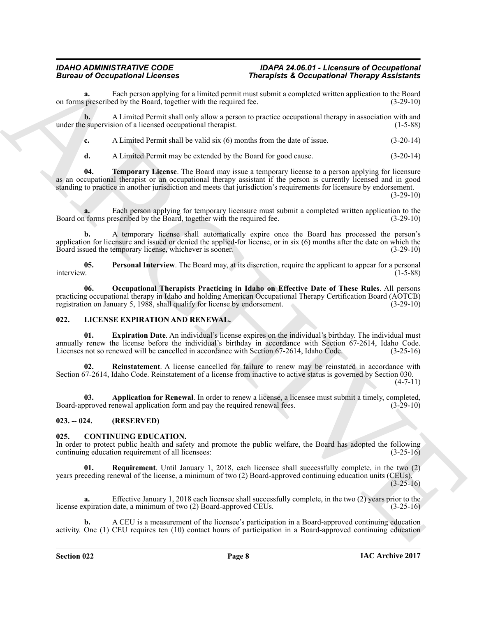#### *IDAHO ADMINISTRATIVE CODE IDAPA 24.06.01 - Licensure of Occupational* **Therapists & Occupational Therapy Assistants**

**a.** Each person applying for a limited permit must submit a completed written application to the Board prescribed by the Board, together with the required fee.  $(3-29-10)$ on forms prescribed by the Board, together with the required fee.

**b.** A Limited Permit shall only allow a person to practice occupational therapy in association with and under the supervision of a licensed occupational therapist. (1-5-88)

**c.** A Limited Permit shall be valid six (6) months from the date of issue. (3-20-14)

<span id="page-7-5"></span>**d.** A Limited Permit may be extended by the Board for good cause. (3-20-14)

**04. Temporary License**. The Board may issue a temporary license to a person applying for licensure as an occupational therapist or an occupational therapy assistant if the person is currently licensed and in good standing to practice in another jurisdiction and meets that jurisdiction's requirements for licensure by endorsement.

 $(3-29-10)$ 

**a.** Each person applying for temporary licensure must submit a completed written application to the forms prescribed by the Board, together with the required fee.  $(3-29-10)$ Board on forms prescribed by the Board, together with the required fee.

**b.** A temporary license shall automatically expire once the Board has processed the person's application for licensure and issued or denied the applied-for license, or in six (6) months after the date on which the Board issued the temporary license, whichever is sooner. (3-29-10) Board issued the temporary license, whichever is sooner.

<span id="page-7-4"></span><span id="page-7-3"></span>**05.** Personal Interview. The Board may, at its discretion, require the applicant to appear for a personal interview. interview. (1-5-88)

Bureau of Occupations I herein the time of Photographics is the control of the space of the space of the space of the space of the space of the space of the space of the space of the space of the space of the space of the **06. Occupational Therapists Practicing in Idaho on Effective Date of These Rules**. All persons practicing occupational therapy in Idaho and holding American Occupational Therapy Certification Board (AOTCB) registration on January 5, 1988, shall qualify for license by endorsement. (3-29-10) registration on January 5, 1988, shall qualify for license by endorsement.

# <span id="page-7-8"></span><span id="page-7-0"></span>**022. LICENSE EXPIRATION AND RENEWAL.**

<span id="page-7-10"></span>**01. Expiration Date**. An individual's license expires on the individual's birthday. The individual must annually renew the license before the individual's birthday in accordance with Section 67-2614, Idaho Code.<br>Licenses not so renewed will be cancelled in accordance with Section 67-2614, Idaho Code. (3-25-16) Licenses not so renewed will be cancelled in accordance with Section 67-2614, Idaho Code.

<span id="page-7-11"></span>**02. Reinstatement**. A license cancelled for failure to renew may be reinstated in accordance with Section 67-2614, Idaho Code. Reinstatement of a license from inactive to active status is governed by Section 030.  $(4 - 7 - 11)$ 

<span id="page-7-9"></span>**03. Application for Renewal**. In order to renew a license, a licensee must submit a timely, completed, oproved renewal application form and pay the required renewal fees. (3-29-10) Board-approved renewal application form and pay the required renewal fees.

# <span id="page-7-1"></span>**023. -- 024. (RESERVED)**

### <span id="page-7-6"></span><span id="page-7-2"></span>**025. CONTINUING EDUCATION.**

In order to protect public health and safety and promote the public welfare, the Board has adopted the following continuing education requirement of all licensees: continuing education requirement of all licensees:

<span id="page-7-7"></span>**01. Requirement**. Until January 1, 2018, each licensee shall successfully complete, in the two (2) years preceding renewal of the license, a minimum of two (2) Board-approved continuing education units (CEUs).

 $(3-25-16)$ 

**a.** Effective January 1, 2018 each licensee shall successfully complete, in the two (2) years prior to the xpiration date, a minimum of two (2) Board-approved CEUs. (3-25-16) license expiration date, a minimum of two (2) Board-approved CEUs.

**b.** A CEU is a measurement of the licensee's participation in a Board-approved continuing education activity. One (1) CEU requires ten (10) contact hours of participation in a Board-approved continuing education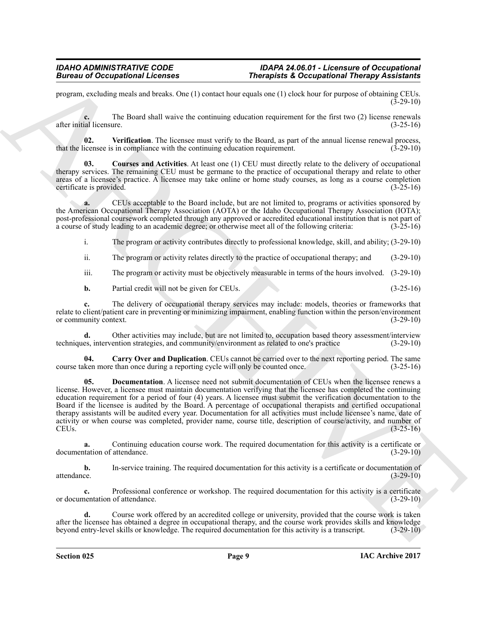program, excluding meals and breaks. One (1) contact hour equals one (1) clock hour for purpose of obtaining CEUs.  $(3 - 29 - 10)$ 

**c.** The Board shall waive the continuing education requirement for the first two (2) license renewals after initial licensure. (3-25-16)

<span id="page-8-3"></span>**02.** Verification. The licensee must verify to the Board, as part of the annual license renewal process, icensee is in compliance with the continuing education requirement. (3-29-10) that the licensee is in compliance with the continuing education requirement.

<span id="page-8-1"></span>**03. Courses and Activities**. At least one (1) CEU must directly relate to the delivery of occupational therapy services. The remaining CEU must be germane to the practice of occupational therapy and relate to other areas of a licensee's practice. A licensee may take online or home study courses, as long as a course completion certificate is provided.  $(3-25-16)$ certificate is provided.

**a.** CEUs acceptable to the Board include, but are not limited to, programs or activities sponsored by the American Occupational Therapy Association (AOTA) or the Idaho Occupational Therapy Association (IOTA); post-professional coursework completed through any approved or accredited educational institution that is not part of a course of study leading to an academic degree; or otherwise meet all of the following criteria: (3-25a course of study leading to an academic degree; or otherwise meet all of the following criteria:

i. The program or activity contributes directly to professional knowledge, skill, and ability; (3-29-10)

ii. The program or activity relates directly to the practice of occupational therapy; and (3-29-10)

iii. The program or activity must be objectively measurable in terms of the hours involved. (3-29-10)

**b.** Partial credit will not be given for CEUs. (3-25-16)

**c.** The delivery of occupational therapy services may include: models, theories or frameworks that relate to client/patient care in preventing or minimizing impairment, enabling function within the person/environment<br>or community context. (3-29-10) or community context.

**d.** Other activities may include, but are not limited to, occupation based theory assessment/interview es, intervention strategies, and community/environment as related to one's practice (3-29-10) techniques, intervention strategies, and community/environment as related to one's practice

<span id="page-8-2"></span><span id="page-8-0"></span>**04.** Carry Over and Duplication. CEUs cannot be carried over to the next reporting period. The same ken more than once during a reporting cycle will only be counted once. (3-25-16) course taken more than once during a reporting cycle will only be counted once.

Bureau of Occupations I Licenses<br>
pursua a Diversion of December 2011<br>
pursua control to the Simul and the Simul and the Simul and the Simul and the December 2011<br>
and the Bureau and the Simul and the Simul and the Bureau **05. Documentation**. A licensee need not submit documentation of CEUs when the licensee renews a license. However, a licensee must maintain documentation verifying that the licensee has completed the continuing education requirement for a period of four (4) years. A licensee must submit the verification documentation to the Board if the licensee is audited by the Board. A percentage of occupational therapists and certified occupational therapy assistants will be audited every year. Documentation for all activities must include licensee's name, date of activity or when course was completed, provider name, course title, description of course/activity, and number of CEUs. (3-25-16) CEUs.  $(3-25-16)$ 

**a.** Continuing education course work. The required documentation for this activity is a certificate or tation of attendance.  $(3-29-10)$ documentation of attendance.

**b.** In-service training. The required documentation for this activity is a certificate or documentation of attendance.  $(3-29-10)$ attendance. (3-29-10)

**c.** Professional conference or workshop. The required documentation for this activity is a certificate nentation of attendance. (3-29-10) or documentation of attendance.

**d.** Course work offered by an accredited college or university, provided that the course work is taken after the licensee has obtained a degree in occupational therapy, and the course work provides skills and knowledge beyond entry-level skills or knowledge. The required documentation for this activity is a transcript. (3-2 beyond entry-level skills or knowledge. The required documentation for this activity is a transcript.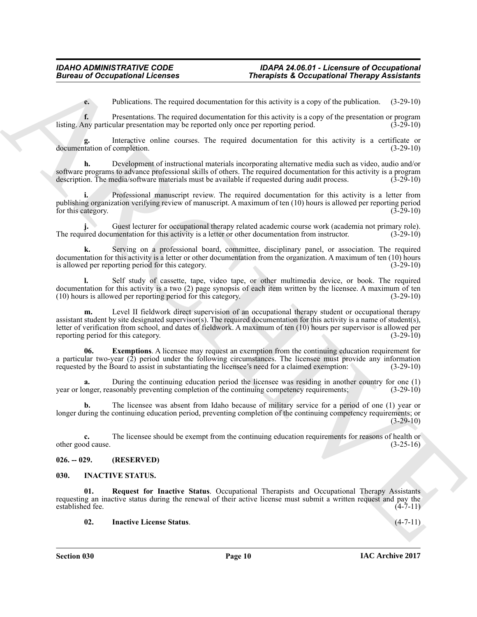**e.** Publications. The required documentation for this activity is a copy of the publication. (3-29-10)

**f.** Presentations. The required documentation for this activity is a copy of the presentation or program ny particular presentation may be reported only once per reporting period. (3-29-10) listing. Any particular presentation may be reported only once per reporting period.

Interactive online courses. The required documentation for this activity is a certificate or completion.  $(3-29-10)$ documentation of completion.

**h.** Development of instructional materials incorporating alternative media such as video, audio and/or software programs to advance professional skills of others. The required documentation for this activity is a program description. The media/software materials must be available if requested during audit process. (3-29-10) description. The media/software materials must be available if requested during audit process.

**i.** Professional manuscript review. The required documentation for this activity is a letter from publishing organization verifying review of manuscript. A maximum of ten (10) hours is allowed per reporting period for this category.

Guest lecturer for occupational therapy related academic course work (academia not primary role). The required documentation for this activity is a letter or other documentation from instructor. (3-29-10)

**k.** Serving on a professional board, committee, disciplinary panel, or association. The required documentation for this activity is a letter or other documentation from the organization. A maximum of ten (10) hours<br>is allowed per reporting period for this category. is allowed per reporting period for this category.

**l.** Self study of cassette, tape, video tape, or other multimedia device, or book. The required documentation for this activity is a two  $(2)$  page synopsis of each item written by the licensee. A maximum of ten  $(10)$  hours is allowed per reporting period for this category.  $(3-29-10)$  $(10)$  hours is allowed per reporting period for this category.

**Example on Conceptions I.** Every and decomposition is the anchor, a so any other polarisms of Conceptions I. Every the set of the set of the set of the set of the set of the set of the set of the set of the set of the se Level II fieldwork direct supervision of an occupational therapy student or occupational therapy assistant student by site designated supervisor(s). The required documentation for this activity is a name of student(s), letter of verification from school, and dates of fieldwork. A maximum of ten (10) hours per supervisor is allowed per reporting period for this category.

<span id="page-9-2"></span>**06.** Exemptions. A licensee may request an exemption from the continuing education requirement for a particular two-year  $(2)$  period under the following circumstances. The licensee must provide any information requested by the Board to assist in substantiating the licensee's need for a claimed exemption:  $(3-29-10)$ requested by the Board to assist in substantiating the licensee's need for a claimed exemption:

**a.** During the continuing education period the licensee was residing in another country for one (1) onger, reasonably preventing completion of the continuing competency requirements; (3-29-10) year or longer, reasonably preventing completion of the continuing competency requirements;

The licensee was absent from Idaho because of military service for a period of one (1) year or longer during the continuing education period, preventing completion of the continuing competency requirements; or (3-29-10)

**c.** The licensee should be exempt from the continuing education requirements for reasons of health or od cause.  $(3-25-16)$ other good cause.

# <span id="page-9-0"></span>**026. -- 029. (RESERVED)**

# <span id="page-9-3"></span><span id="page-9-1"></span>**030. INACTIVE STATUS.**

**01. Request for Inactive Status**. Occupational Therapists and Occupational Therapy Assistants requesting an inactive status during the renewal of their active license must submit a written request and pay the established fee. (4-7-11)

<span id="page-9-5"></span><span id="page-9-4"></span>**02. Inactive License Status**. (4-7-11)

**Section 030 Page 10**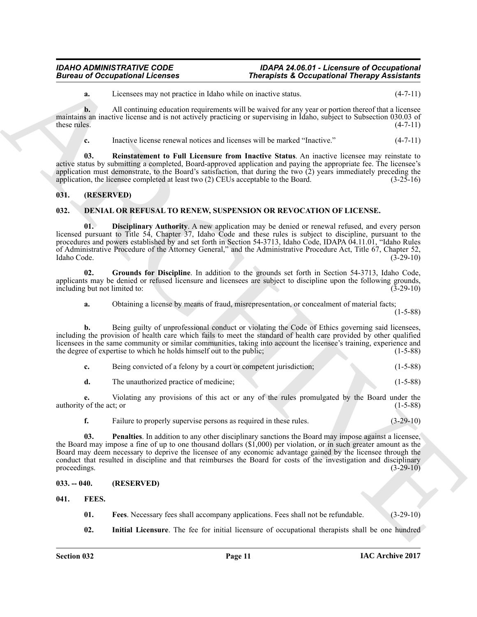#### *IDAHO ADMINISTRATIVE CODE IDAPA 24.06.01 - Licensure of Occupational Bureau of Occupational Licenses Therapists & Occupational Therapy Assistants*

**a.** Licensees may not practice in Idaho while on inactive status. (4-7-11)

**b.** All continuing education requirements will be waived for any year or portion thereof that a licensee maintains an inactive license and is not actively practicing or supervising in Idaho, subject to Subsection 030.03 of these rules. (4-7-11) these rules.  $(4-7-11)$ 

<span id="page-10-11"></span>**c.** Inactive license renewal notices and licenses will be marked "Inactive." (4-7-11)

**03. Reinstatement to Full Licensure from Inactive Status**. An inactive licensee may reinstate to active status by submitting a completed, Board-approved application and paying the appropriate fee. The licensee's application must demonstrate, to the Board's satisfaction, that during the two  $\overline{2}$ ) years immediately preceding the application, the licensee completed at least two  $\overline{2}$ ) CEUs acceptable to the Board. (3-25-16) application, the licensee completed at least two  $(2)$  CEUs acceptable to the Board.

# <span id="page-10-0"></span>**031. (RESERVED)**

# <span id="page-10-4"></span><span id="page-10-1"></span>**032. DENIAL OR REFUSAL TO RENEW, SUSPENSION OR REVOCATION OF LICENSE.**

<span id="page-10-5"></span>**01. Disciplinary Authority**. A new application may be denied or renewal refused, and every person licensed pursuant to Title 54, Chapter 37, Idaho Code and these rules is subject to discipline, pursuant to the procedures and powers established by and set forth in Section 54-3713, Idaho Code, IDAPA 04.11.01, "Idaho Rules of Administrative Procedure of the Attorney General," and the Administrative Procedure Act, Title 67, Chapter 52, Idaho Code. (3-29-10)

**02. Grounds for Discipline**. In addition to the grounds set forth in Section 54-3713, Idaho Code, applicants may be denied or refused licensure and licensees are subject to discipline upon the following grounds, including but not limited to: (3-29-10) including but not limited to:

<span id="page-10-6"></span>**a.** Obtaining a license by means of fraud, misrepresentation, or concealment of material facts;

 $(1-5-88)$ 

**b.** Being guilty of unprofessional conduct or violating the Code of Ethics governing said licensees, including the provision of health care which fails to meet the standard of health care provided by other qualified licensees in the same community or similar communities, taking into account the licensee's training, experience and the degree of expertise to which he holds himself out to the public; (1-5-88)

| Being convicted of a felony by a court or competent jurisdiction; |  | $(1-5-88)$ |
|-------------------------------------------------------------------|--|------------|
| The unauthorized practice of medicine;                            |  | $(1-5-88)$ |

**e.** Violating any provisions of this act or any of the rules promulgated by the Board under the of the act; or (1-5-88) authority of the act; or

<span id="page-10-7"></span>**f.** Failure to properly supervise persons as required in these rules.  $(3-29-10)$ 

Bureau of Occupations I Leonard Control is a state to matches a conceptions I heavy Anisotheristic Control in the state of the control in the state of the state of the state of the state of the state of the state of the s **03. Penalties**. In addition to any other disciplinary sanctions the Board may impose against a licensee, the Board may impose a fine of up to one thousand dollars (\$1,000) per violation, or in such greater amount as the Board may deem necessary to deprive the licensee of any economic advantage gained by the licensee through the conduct that resulted in discipline and that reimburses the Board for costs of the investigation and disciplinary proceedings.  $(3-29-10)$ 

### <span id="page-10-2"></span>**033. -- 040. (RESERVED)**

<span id="page-10-3"></span>**041. FEES.**

- <span id="page-10-9"></span><span id="page-10-8"></span>**01. Fees**. Necessary fees shall accompany applications. Fees shall not be refundable. (3-29-10)
- <span id="page-10-10"></span>**02. Initial Licensure**. The fee for initial licensure of occupational therapists shall be one hundred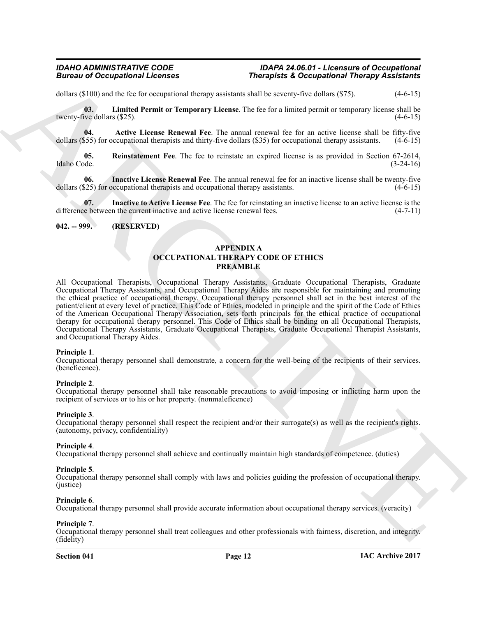#### *IDAHO ADMINISTRATIVE CODE IDAPA 24.06.01 - Licensure of Occupational Bureau of Occupational Licenses Therapists & Occupational Therapy Assistants*

dollars  $(\$100)$  and the fee for occupational therapy assistants shall be seventy-five dollars  $(\$75)$ .  $(4-6-15)$ 

<span id="page-11-5"></span>**03. Limited Permit or Temporary License**. The fee for a limited permit or temporary license shall be twenty-five dollars (\$25). (4-6-15)

<span id="page-11-2"></span>**04. Active License Renewal Fee**. The annual renewal fee for an active license shall be fifty-five 555) for occupational therapists and thirty-five dollars (\$35) for occupational therapy assistants. (4-6-15) dollars (\$55) for occupational therapists and thirty-five dollars  $($ \$35) for occupational therapy assistants.

<span id="page-11-6"></span>**05.** Reinstatement Fee. The fee to reinstate an expired license is as provided in Section 67-2614, Idaho Code. (3-24-16) Idaho Code. (3-24-16)

<span id="page-11-3"></span>**06.** Inactive License Renewal Fee. The annual renewal fee for an inactive license shall be twenty-five (25) for occupational therapists and occupational therapy assistants. (4-6-15) dollars  $(\$25)$  for occupational therapists and occupational therapy assistants.

<span id="page-11-4"></span>**07. Inactive to Active License Fee**. The fee for reinstating an inactive license to an active license is the difference between the current inactive and active license renewal fees. (4-7-11)

#### <span id="page-11-0"></span>**042. -- 999. (RESERVED)**

# <span id="page-11-1"></span>**APPENDIX A OCCUPATIONAL THERAPY CODE OF ETHICS PREAMBLE**

Given to Occupational Licensies<br>
Statistics Theoretical Relations Theoretical Relations Theoretical Relations Theoretical Relations (1988)<br>
Statistics Constraint Correspond Relations and the second statistics of the secon All Occupational Therapists, Occupational Therapy Assistants, Graduate Occupational Therapists, Graduate Occupational Therapy Assistants, and Occupational Therapy Aides are responsible for maintaining and promoting the ethical practice of occupational therapy. Occupational therapy personnel shall act in the best interest of the patient/client at every level of practice. This Code of Ethics, modeled in principle and the spirit of the Code of Ethics of the American Occupational Therapy Association, sets forth principals for the ethical practice of occupational therapy for occupational therapy personnel. This Code of Ethics shall be binding on all Occupational Therapists, Occupational Therapy Assistants, Graduate Occupational Therapists, Graduate Occupational Therapist Assistants, and Occupational Therapy Aides.

#### **Principle 1**.

Occupational therapy personnel shall demonstrate, a concern for the well-being of the recipients of their services. (beneficence).

#### **Principle 2**.

Occupational therapy personnel shall take reasonable precautions to avoid imposing or inflicting harm upon the recipient of services or to his or her property. (nonmaleficence)

#### **Principle 3**.

Occupational therapy personnel shall respect the recipient and/or their surrogate(s) as well as the recipient's rights. (autonomy, privacy, confidentiality)

#### **Principle 4**.

Occupational therapy personnel shall achieve and continually maintain high standards of competence. (duties)

#### **Principle 5**.

Occupational therapy personnel shall comply with laws and policies guiding the profession of occupational therapy. (justice)

#### **Principle 6**.

Occupational therapy personnel shall provide accurate information about occupational therapy services. (veracity)

**Principle 7**. Occupational therapy personnel shall treat colleagues and other professionals with fairness, discretion, and integrity. (fidelity)

#### **Section 041 Page 12**